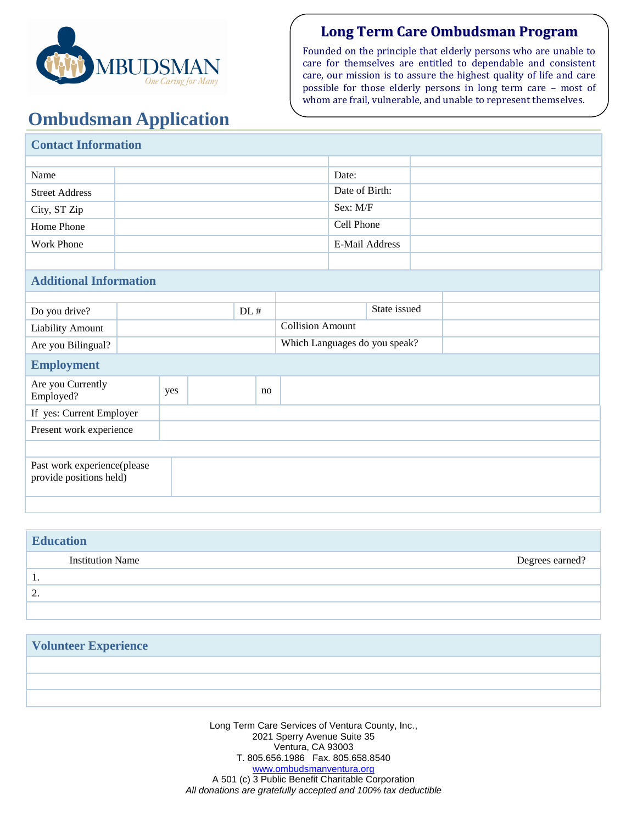

## **Long Term Care Ombudsman Program**

Founded on the principle that elderly persons who are unable to care for themselves are entitled to dependable and consistent care, our mission is to assure the highest quality of life and care possible for those elderly persons in long term care – most of whom are frail, vulnerable, and unable to represent themselves.

# **Ombudsman Application**

| <b>Contact Information</b>                             |     |     |    |                               |                |                |  |  |  |
|--------------------------------------------------------|-----|-----|----|-------------------------------|----------------|----------------|--|--|--|
|                                                        |     |     |    |                               |                |                |  |  |  |
| Name                                                   |     |     |    |                               | Date:          |                |  |  |  |
| <b>Street Address</b>                                  |     |     |    |                               | Date of Birth: |                |  |  |  |
| City, ST Zip                                           |     |     |    |                               | Sex: M/F       |                |  |  |  |
| Home Phone                                             |     |     |    |                               | Cell Phone     |                |  |  |  |
| <b>Work Phone</b>                                      |     |     |    |                               |                | E-Mail Address |  |  |  |
|                                                        |     |     |    |                               |                |                |  |  |  |
| <b>Additional Information</b>                          |     |     |    |                               |                |                |  |  |  |
|                                                        |     |     |    |                               |                |                |  |  |  |
| Do you drive?                                          |     | DL# |    |                               |                | State issued   |  |  |  |
| <b>Liability Amount</b>                                |     |     |    | <b>Collision Amount</b>       |                |                |  |  |  |
| Are you Bilingual?                                     |     |     |    | Which Languages do you speak? |                |                |  |  |  |
| <b>Employment</b>                                      |     |     |    |                               |                |                |  |  |  |
| Are you Currently<br>Employed?                         | yes |     | no |                               |                |                |  |  |  |
| If yes: Current Employer                               |     |     |    |                               |                |                |  |  |  |
| Present work experience                                |     |     |    |                               |                |                |  |  |  |
|                                                        |     |     |    |                               |                |                |  |  |  |
| Past work experience(please<br>provide positions held) |     |     |    |                               |                |                |  |  |  |
|                                                        |     |     |    |                               |                |                |  |  |  |

| <b>Education</b> |                         |                 |
|------------------|-------------------------|-----------------|
|                  | <b>Institution Name</b> | Degrees earned? |
| .,               |                         |                 |
| っ<br><u>.</u>    |                         |                 |
|                  |                         |                 |

| <b>Volunteer Experience</b> |  |  |
|-----------------------------|--|--|
|                             |  |  |
|                             |  |  |
|                             |  |  |

Long Term Care Services of Ventura County, Inc., 2021 Sperry Avenue Suite 35 Ventura, CA 93003 T. 805.656.1986 Fax. 805.658.8540 www.ombudsmanventura.org A 501 (c) 3 Public Benefit Charitable Corporation *All donations are gratefully accepted and 100% tax deductible*